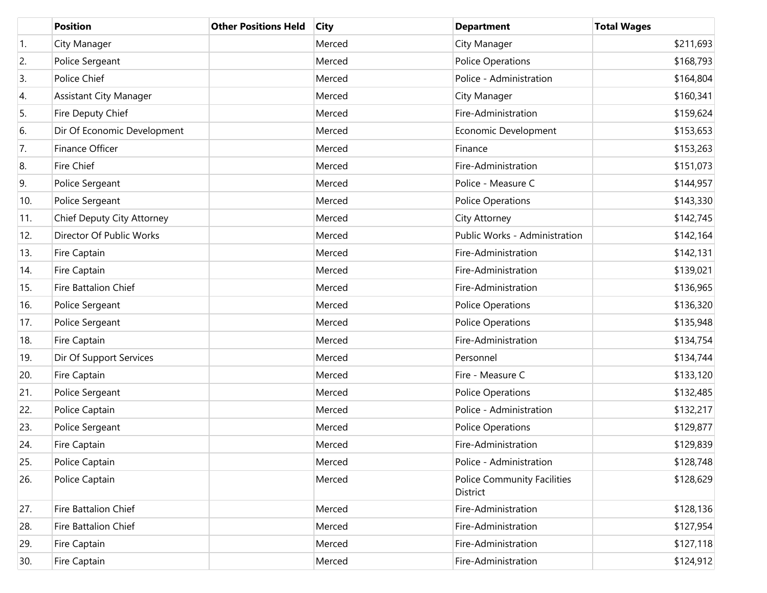|     | <b>Position</b>               | <b>Other Positions Held</b> | <b>City</b> | <b>Department</b>                              | <b>Total Wages</b> |
|-----|-------------------------------|-----------------------------|-------------|------------------------------------------------|--------------------|
| 1.  | City Manager                  |                             | Merced      | City Manager                                   | \$211,693          |
| 2.  | Police Sergeant               |                             | Merced      | <b>Police Operations</b>                       | \$168,793          |
| 3.  | Police Chief                  |                             | Merced      | Police - Administration                        | \$164,804          |
| 4.  | <b>Assistant City Manager</b> |                             | Merced      | City Manager                                   | \$160,341          |
| 5.  | Fire Deputy Chief             |                             | Merced      | Fire-Administration                            | \$159,624          |
| 6.  | Dir Of Economic Development   |                             | Merced      | Economic Development                           | \$153,653          |
| 7.  | Finance Officer               |                             | Merced      | Finance                                        | \$153,263          |
| 8.  | Fire Chief                    |                             | Merced      | Fire-Administration                            | \$151,073          |
| 9.  | Police Sergeant               |                             | Merced      | Police - Measure C                             | \$144,957          |
| 10. | Police Sergeant               |                             | Merced      | <b>Police Operations</b>                       | \$143,330          |
| 11. | Chief Deputy City Attorney    |                             | Merced      | City Attorney                                  | \$142,745          |
| 12. | Director Of Public Works      |                             | Merced      | Public Works - Administration                  | \$142,164          |
| 13. | Fire Captain                  |                             | Merced      | Fire-Administration                            | \$142,131          |
| 14. | Fire Captain                  |                             | Merced      | Fire-Administration                            | \$139,021          |
| 15. | Fire Battalion Chief          |                             | Merced      | Fire-Administration                            | \$136,965          |
| 16. | Police Sergeant               |                             | Merced      | <b>Police Operations</b>                       | \$136,320          |
| 17. | Police Sergeant               |                             | Merced      | <b>Police Operations</b>                       | \$135,948          |
| 18. | Fire Captain                  |                             | Merced      | Fire-Administration                            | \$134,754          |
| 19. | Dir Of Support Services       |                             | Merced      | Personnel                                      | \$134,744          |
| 20. | Fire Captain                  |                             | Merced      | Fire - Measure C                               | \$133,120          |
| 21. | Police Sergeant               |                             | Merced      | <b>Police Operations</b>                       | \$132,485          |
| 22. | Police Captain                |                             | Merced      | Police - Administration                        | \$132,217          |
| 23. | Police Sergeant               |                             | Merced      | <b>Police Operations</b>                       | \$129,877          |
| 24. | Fire Captain                  |                             | Merced      | Fire-Administration                            | \$129,839          |
| 25. | Police Captain                |                             | Merced      | Police - Administration                        | \$128,748          |
| 26. | Police Captain                |                             | Merced      | <b>Police Community Facilities</b><br>District | \$128,629          |
| 27. | Fire Battalion Chief          |                             | Merced      | Fire-Administration                            | \$128,136          |
| 28. | Fire Battalion Chief          |                             | Merced      | Fire-Administration                            | \$127,954          |
| 29. | Fire Captain                  |                             | Merced      | Fire-Administration                            | \$127,118          |
| 30. | Fire Captain                  |                             | Merced      | Fire-Administration                            | \$124,912          |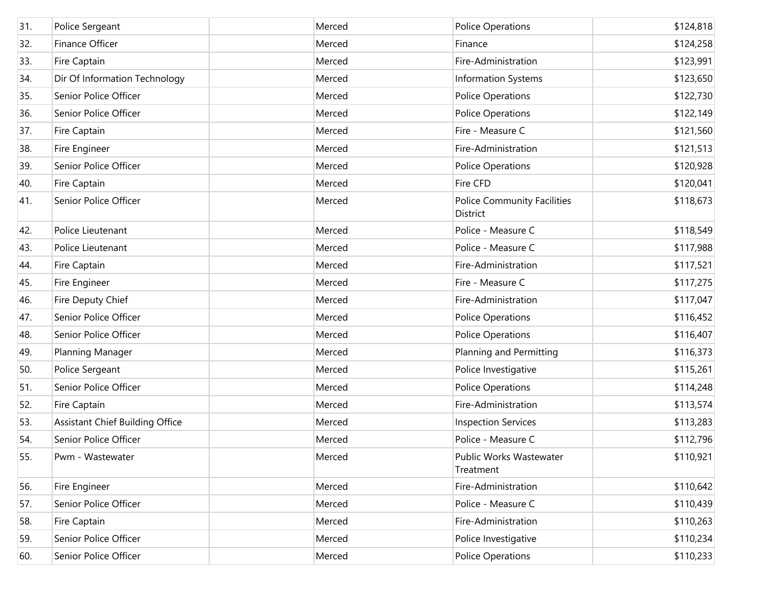| 31. | Police Sergeant                        | Merced | <b>Police Operations</b>                       | \$124,818 |
|-----|----------------------------------------|--------|------------------------------------------------|-----------|
|     |                                        |        |                                                |           |
| 32. | Finance Officer                        | Merced | Finance                                        | \$124,258 |
| 33. | Fire Captain                           | Merced | Fire-Administration                            | \$123,991 |
| 34. | Dir Of Information Technology          | Merced | <b>Information Systems</b>                     | \$123,650 |
| 35. | Senior Police Officer                  | Merced | <b>Police Operations</b>                       | \$122,730 |
| 36. | Senior Police Officer                  | Merced | <b>Police Operations</b>                       | \$122,149 |
| 37. | Fire Captain                           | Merced | Fire - Measure C                               | \$121,560 |
| 38. | Fire Engineer                          | Merced | Fire-Administration                            | \$121,513 |
| 39. | Senior Police Officer                  | Merced | <b>Police Operations</b>                       | \$120,928 |
| 40. | Fire Captain                           | Merced | Fire CFD                                       | \$120,041 |
| 41. | Senior Police Officer                  | Merced | <b>Police Community Facilities</b><br>District | \$118,673 |
| 42. | Police Lieutenant                      | Merced | Police - Measure C                             | \$118,549 |
| 43. | Police Lieutenant                      | Merced | Police - Measure C                             | \$117,988 |
| 44. | Fire Captain                           | Merced | Fire-Administration                            | \$117,521 |
| 45. | Fire Engineer                          | Merced | Fire - Measure C                               | \$117,275 |
| 46. | Fire Deputy Chief                      | Merced | Fire-Administration                            | \$117,047 |
| 47. | Senior Police Officer                  | Merced | <b>Police Operations</b>                       | \$116,452 |
| 48. | Senior Police Officer                  | Merced | <b>Police Operations</b>                       | \$116,407 |
| 49. | Planning Manager                       | Merced | Planning and Permitting                        | \$116,373 |
| 50. | Police Sergeant                        | Merced | Police Investigative                           | \$115,261 |
| 51. | Senior Police Officer                  | Merced | <b>Police Operations</b>                       | \$114,248 |
| 52. | Fire Captain                           | Merced | Fire-Administration                            | \$113,574 |
| 53. | <b>Assistant Chief Building Office</b> | Merced | <b>Inspection Services</b>                     | \$113,283 |
| 54. | Senior Police Officer                  | Merced | Police - Measure C                             | \$112,796 |
| 55. | Pwm - Wastewater                       | Merced | Public Works Wastewater<br>Treatment           | \$110,921 |
| 56. | Fire Engineer                          | Merced | Fire-Administration                            | \$110,642 |
| 57. | Senior Police Officer                  | Merced | Police - Measure C                             | \$110,439 |
| 58. | Fire Captain                           | Merced | Fire-Administration                            | \$110,263 |
| 59. | Senior Police Officer                  | Merced | Police Investigative                           | \$110,234 |
| 60. | Senior Police Officer                  | Merced | Police Operations                              | \$110,233 |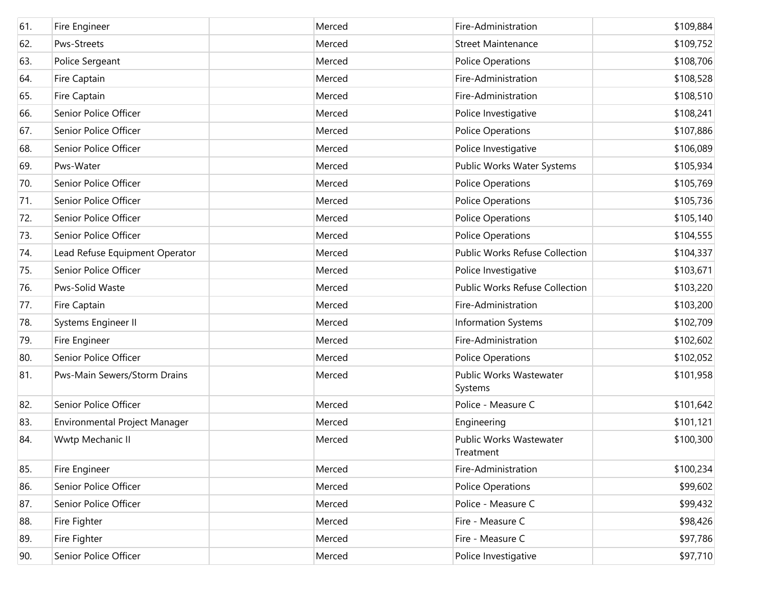| 61. | Fire Engineer                  | Merced | Fire-Administration                  | \$109,884 |
|-----|--------------------------------|--------|--------------------------------------|-----------|
| 62. | Pws-Streets                    | Merced | <b>Street Maintenance</b>            | \$109,752 |
| 63. | Police Sergeant                | Merced | Police Operations                    | \$108,706 |
| 64. | Fire Captain                   | Merced | Fire-Administration                  | \$108,528 |
| 65. | Fire Captain                   | Merced | Fire-Administration                  | \$108,510 |
| 66. | Senior Police Officer          | Merced | Police Investigative                 | \$108,241 |
| 67. | Senior Police Officer          | Merced | <b>Police Operations</b>             | \$107,886 |
| 68. | Senior Police Officer          | Merced | Police Investigative                 | \$106,089 |
| 69. | Pws-Water                      | Merced | Public Works Water Systems           | \$105,934 |
| 70. | Senior Police Officer          | Merced | <b>Police Operations</b>             | \$105,769 |
| 71. | Senior Police Officer          | Merced | <b>Police Operations</b>             | \$105,736 |
| 72. | Senior Police Officer          | Merced | <b>Police Operations</b>             | \$105,140 |
| 73. | Senior Police Officer          | Merced | <b>Police Operations</b>             | \$104,555 |
| 74. | Lead Refuse Equipment Operator | Merced | Public Works Refuse Collection       | \$104,337 |
| 75. | Senior Police Officer          | Merced | Police Investigative                 | \$103,671 |
| 76. | Pws-Solid Waste                | Merced | Public Works Refuse Collection       | \$103,220 |
| 77. | Fire Captain                   | Merced | Fire-Administration                  | \$103,200 |
| 78. | Systems Engineer II            | Merced | <b>Information Systems</b>           | \$102,709 |
| 79. | Fire Engineer                  | Merced | Fire-Administration                  | \$102,602 |
| 80. | Senior Police Officer          | Merced | Police Operations                    | \$102,052 |
| 81. | Pws-Main Sewers/Storm Drains   | Merced | Public Works Wastewater<br>Systems   | \$101,958 |
| 82. | Senior Police Officer          | Merced | Police - Measure C                   | \$101,642 |
| 83. | Environmental Project Manager  | Merced | Engineering                          | \$101,121 |
| 84. | Wwtp Mechanic II               | Merced | Public Works Wastewater<br>Treatment | \$100,300 |
| 85. | Fire Engineer                  | Merced | Fire-Administration                  | \$100,234 |
| 86. | Senior Police Officer          | Merced | Police Operations                    | \$99,602  |
| 87. | Senior Police Officer          | Merced | Police - Measure C                   | \$99,432  |
| 88. | Fire Fighter                   | Merced | Fire - Measure C                     | \$98,426  |
| 89. | Fire Fighter                   | Merced | Fire - Measure C                     | \$97,786  |
| 90. | Senior Police Officer          | Merced | Police Investigative                 | \$97,710  |